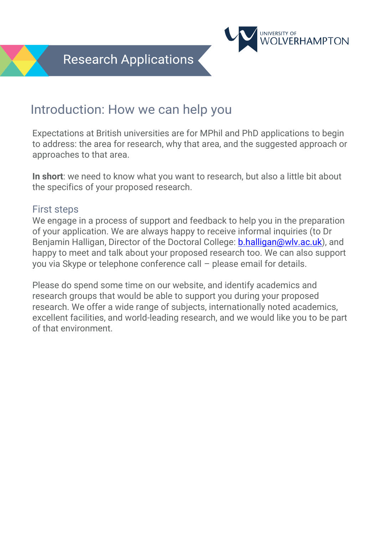

Expectations at British universities are for MPhil and PhD applications to begin to address: the area for research, why that area, and the suggested approach or approaches to that area.

**NIVERSITY OF** 

VERHAMPTON

**In short**: we need to know what you want to research, but also a little bit about the specifics of your proposed research.

#### First steps

We engage in a process of support and feedback to help you in the preparation of your application. We are always happy to receive informal inquiries (to Dr Benjamin Halligan, Director of the Doctoral College: [b.halligan@wlv.ac.uk\)](mailto:b.halligan@wlv.ac.uk), and happy to meet and talk about your proposed research too. We can also support you via Skype or telephone conference call – please email for details.

Please do spend some time on our website, and identify academics and research groups that would be able to support you during your proposed research. We offer a wide range of subjects, internationally noted academics, excellent facilities, and world-leading research, and we would like you to be part of that environment.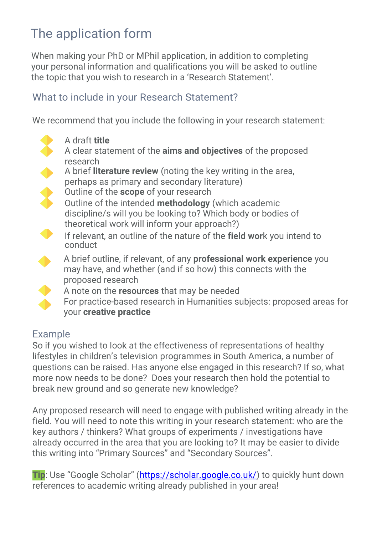# The application form

When making your PhD or MPhil application, in addition to completing your personal information and qualifications you will be asked to outline the topic that you wish to research in a 'Research Statement'.

### What to include in your Research Statement?

We recommend that you include the following in your research statement:



### Example

So if you wished to look at the effectiveness of representations of healthy lifestyles in children's television programmes in South America, a number of questions can be raised. Has anyone else engaged in this research? If so, what more now needs to be done? Does your research then hold the potential to break new ground and so generate new knowledge?

Any proposed research will need to engage with published writing already in the field. You will need to note this writing in your research statement: who are the key authors / thinkers? What groups of experiments / investigations have already occurred in the area that you are looking to? It may be easier to divide this writing into "Primary Sources" and "Secondary Sources".

**Tip**: Use "Google Scholar" ([https://scholar.google.co.uk/\)](https://scholar.google.co.uk/) to quickly hunt down references to academic writing already published in your area!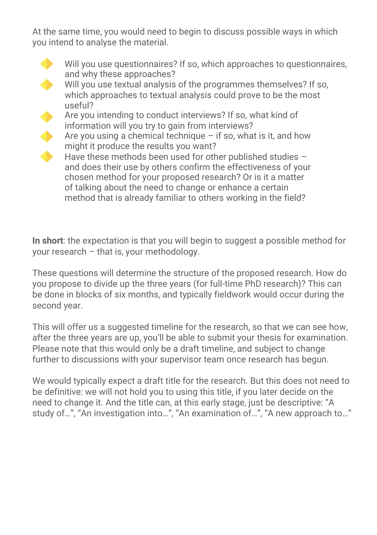At the same time, you would need to begin to discuss possible ways in which you intend to analyse the material.

Will you use questionnaires? If so, which approaches to questionnaires, and why these approaches? Will you use textual analysis of the programmes themselves? If so, which approaches to textual analysis could prove to be the most useful? Are you intending to conduct interviews? If so, what kind of information will you try to gain from interviews?  $\blacklozenge$ Are you using a chemical technique  $-$  if so, what is it, and how might it produce the results you want? Have these methods been used for other published studies – and does their use by others confirm the effectiveness of your chosen method for your proposed research? Or is it a matter of talking about the need to change or enhance a certain method that is already familiar to others working in the field?

**In short**: the expectation is that you will begin to suggest a possible method for your research – that is, your methodology.

These questions will determine the structure of the proposed research. How do you propose to divide up the three years (for full-time PhD research)? This can be done in blocks of six months, and typically fieldwork would occur during the second year.

This will offer us a suggested timeline for the research, so that we can see how, after the three years are up, you'll be able to submit your thesis for examination. Please note that this would only be a draft timeline, and subject to change further to discussions with your supervisor team once research has begun.

We would typically expect a draft title for the research. But this does not need to be definitive: we will not hold you to using this title, if you later decide on the need to change it. And the title can, at this early stage, just be descriptive: "A study of…", "An investigation into…", "An examination of…", "A new approach to…"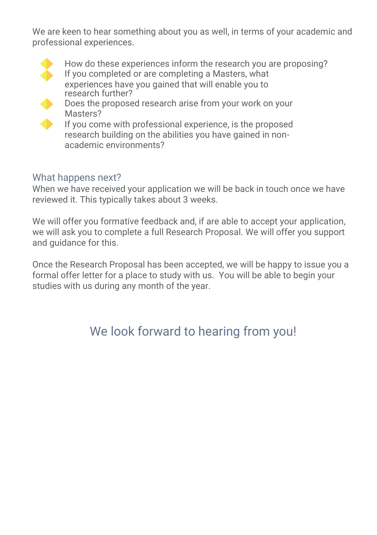We are keen to hear something about you as well, in terms of your academic and professional experiences.



 How do these experiences inform the research you are proposing? If you completed or are completing a Masters, what experiences have you gained that will enable you to research further?



 Does the proposed research arise from your work on your Masters?

 If you come with professional experience, is the proposed research building on the abilities you have gained in nonacademic environments?

### What happens next?

When we have received your application we will be back in touch once we have reviewed it. This typically takes about 3 weeks.

We will offer you formative feedback and, if are able to accept your application, we will ask you to complete a full Research Proposal. We will offer you support and guidance for this.

Once the Research Proposal has been accepted, we will be happy to issue you a formal offer letter for a place to study with us. You will be able to begin your studies with us during any month of the year.

## We look forward to hearing from you!